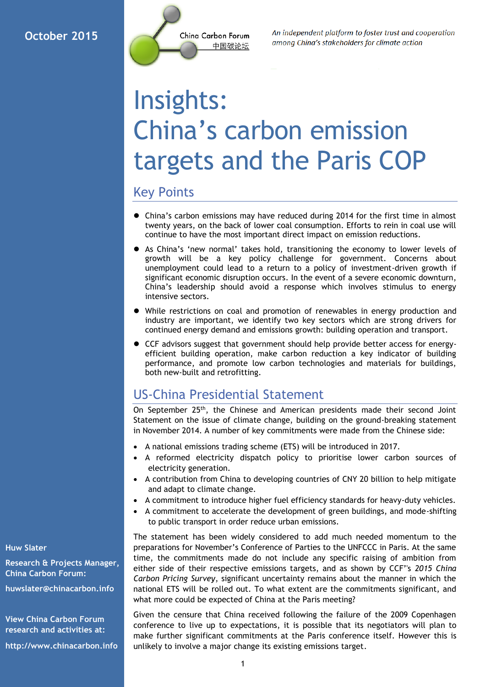

An independent platform to foster trust and cooperation among China's stakeholders for climate action

# Insights: China's carbon emission targets and the Paris COP

### Key Points

- China's carbon emissions may have reduced during 2014 for the first time in almost twenty years, on the back of lower coal consumption. Efforts to rein in coal use will continue to have the most important direct impact on emission reductions.
- As China's 'new normal' takes hold, transitioning the economy to lower levels of growth will be a key policy challenge for government. Concerns about unemployment could lead to a return to a policy of investment-driven growth if significant economic disruption occurs. In the event of a severe economic downturn, China's leadership should avoid a response which involves stimulus to energy intensive sectors.
- While restrictions on coal and promotion of renewables in energy production and industry are important, we identify two key sectors which are strong drivers for continued energy demand and emissions growth: building operation and transport.
- CCF advisors suggest that government should help provide better access for energyefficient building operation, make carbon reduction a key indicator of building performance, and promote low carbon technologies and materials for buildings, both new-built and retrofitting.

## US-China Presidential Statement

On September 25<sup>th</sup>, the Chinese and American presidents made their second Joint Statement on the issue of climate change, building on the ground-breaking statement in November 2014. A number of key commitments were made from the Chinese side:

- A national emissions trading scheme (ETS) will be introduced in 2017.
- A reformed electricity dispatch policy to prioritise lower carbon sources of electricity generation.
- A contribution from China to developing countries of CNY 20 billion to help mitigate and adapt to climate change.
- A commitment to introduce higher fuel efficiency standards for heavy-duty vehicles.
- A commitment to accelerate the development of green buildings, and mode-shifting to public transport in order reduce urban emissions.

The statement has been widely considered to add much needed momentum to the preparations for November's Conference of Parties to the UNFCCC in Paris. At the same time, the commitments made do not include any specific raising of ambition from either side of their respective emissions targets, and as shown by CCF''s *2015 China Carbon Pricing Survey*, significant uncertainty remains about the manner in which the national ETS will be rolled out. To what extent are the commitments significant, and what more could be expected of China at the Paris meeting?

Given the censure that China received following the failure of the 2009 Copenhagen conference to live up to expectations, it is possible that its negotiators will plan to make further significant commitments at the Paris conference itself. However this is unlikely to involve a major change its existing emissions target.

**Huw Slater**

**Research & Projects Manager, China Carbon Forum:**

**[huwslater@chinacarbon.info](mailto:huwslater@chinacarbon.info)**

**View China Carbon Forum research and activities at:**

**http://www.chinacarbon.info**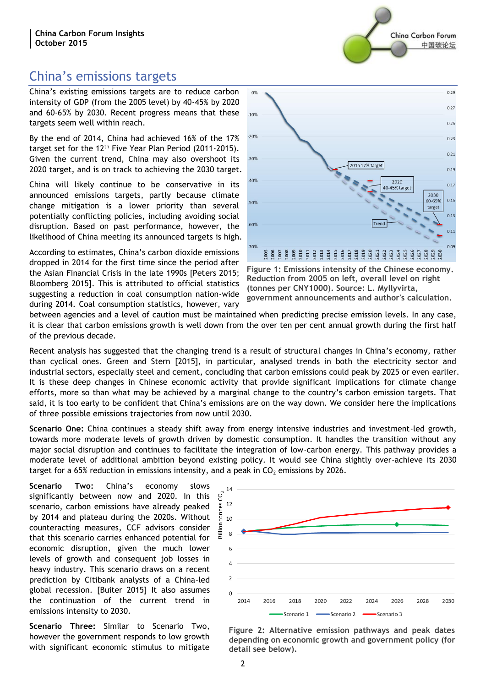# China's emissions targets

China's existing emissions targets are to reduce carbon intensity of GDP (from the 2005 level) by 40-45% by 2020 and 60-65% by 2030. Recent progress means that these targets seem well within reach.

By the end of 2014, China had achieved 16% of the 17% target set for the 12<sup>th</sup> Five Year Plan Period (2011-2015). Given the current trend, China may also overshoot its 2020 target, and is on track to achieving the 2030 target.

China will likely continue to be conservative in its announced emissions targets, partly because climate change mitigation is a lower priority than several potentially conflicting policies, including avoiding social disruption. Based on past performance, however, the likelihood of China meeting its announced targets is high.

According to estimates, China's carbon dioxide emissions dropped in 2014 for the first time since the period after the Asian Financial Crisis in the late 1990s [Peters 2015; Bloomberg 2015]. This is attributed to official statistics suggesting a reduction in coal consumption nation-wide during 2014. Coal consumption statistics, however, vary



Ching Carbon Forum

中国碳论坛

**Figure 1: Emissions intensity of the Chinese economy. Reduction from 2005 on left, overall level on right (tonnes per CNY1000). Source: L. Myllyvirta, government announcements and author's calculation.**

between agencies and a level of caution must be maintained when predicting precise emission levels. In any case, it is clear that carbon emissions growth is well down from the over ten per cent annual growth during the first half of the previous decade.

Recent analysis has suggested that the changing trend is a result of structural changes in China's economy, rather than cyclical ones. Green and Stern [2015], in particular, analysed trends in both the electricity sector and industrial sectors, especially steel and cement, concluding that carbon emissions could peak by 2025 or even earlier. It is these deep changes in Chinese economic activity that provide significant implications for climate change efforts, more so than what may be achieved by a marginal change to the country's carbon emission targets. That said, it is too early to be confident that China's emissions are on the way down. We consider here the implications of three possible emissions trajectories from now until 2030.

**Scenario One:** China continues a steady shift away from energy intensive industries and investment-led growth, towards more moderate levels of growth driven by domestic consumption. It handles the transition without any major social disruption and continues to facilitate the integration of low-carbon energy. This pathway provides a moderate level of additional ambition beyond existing policy. It would see China slightly over-achieve its 2030 target for a 65% reduction in emissions intensity, and a peak in  $CO<sub>2</sub>$  emissions by 2026.

**Scenario Two:** China's economy slows significantly between now and 2020. In this scenario, carbon emissions have already peaked by 2014 and plateau during the 2020s. Without counteracting measures, CCF advisors consider that this scenario carries enhanced potential for economic disruption, given the much lower levels of growth and consequent job losses in heavy industry. This scenario draws on a recent prediction by Citibank analysts of a China-led global recession. [Buiter 2015] It also assumes the continuation of the current trend in emissions intensity to 2030.

**Scenario Three:** Similar to Scenario Two, however the government responds to low growth with significant economic stimulus to mitigate



**Figure 2: Alternative emission pathways and peak dates depending on economic growth and government policy (for detail see below).**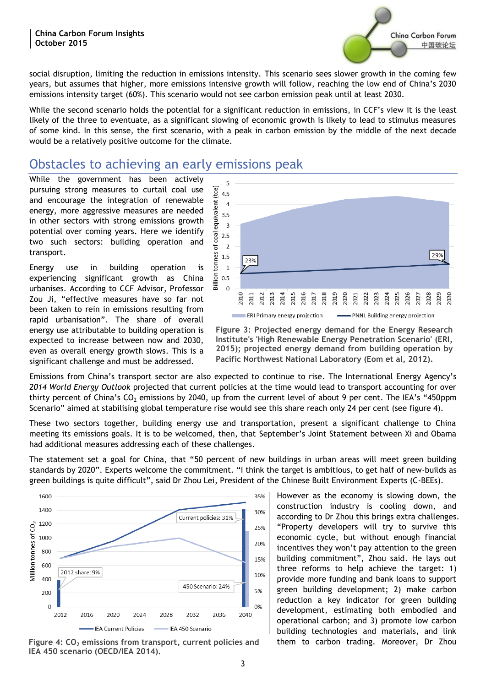

social disruption, limiting the reduction in emissions intensity. This scenario sees slower growth in the coming few years, but assumes that higher, more emissions intensive growth will follow, reaching the low end of China's 2030 emissions intensity target (60%). This scenario would not see carbon emission peak until at least 2030.

While the second scenario holds the potential for a significant reduction in emissions, in CCF's view it is the least likely of the three to eventuate, as a significant slowing of economic growth is likely to lead to stimulus measures of some kind. In this sense, the first scenario, with a peak in carbon emission by the middle of the next decade would be a relatively positive outcome for the climate.

## Obstacles to achieving an early emissions peak

While the government has been actively pursuing strong measures to curtail coal use and encourage the integration of renewable energy, more aggressive measures are needed in other sectors with strong emissions growth potential over coming years. Here we identify two such sectors: building operation and transport.

Energy use in building operation is experiencing significant growth as China urbanises. According to CCF Advisor, Professor Zou Ji, "effective measures have so far not been taken to rein in emissions resulting from rapid urbanisation". The share of overall energy use attributable to building operation is expected to increase between now and 2030, even as overall energy growth slows. This is a significant challenge and must be addressed.



**Figure 3: Projected energy demand for the Energy Research Institute's 'High Renewable Energy Penetration Scenario' (ERI, 2015); projected energy demand from building operation by Pacific Northwest National Laboratory (Eom et al, 2012).**

Emissions from China's transport sector are also expected to continue to rise. The International Energy Agency's *2014 World Energy Outlook* projected that current policies at the time would lead to transport accounting for over thirty percent of China's  $CO<sub>2</sub>$  emissions by 2040, up from the current level of about 9 per cent. The IEA's "450ppm Scenario" aimed at stabilising global temperature rise would see this share reach only 24 per cent (see figure 4).

These two sectors together, building energy use and transportation, present a significant challenge to China meeting its emissions goals. It is to be welcomed, then, that September's Joint Statement between Xi and Obama had additional measures addressing each of these challenges.

The statement set a goal for China, that "50 percent of new buildings in urban areas will meet green building standards by 2020". Experts welcome the commitment. "I think the target is ambitious, to get half of new-builds as green buildings is quite difficult", said Dr Zhou Lei, President of the Chinese Built Environment Experts (C-BEEs).



**Figure 4: CO<sub>2</sub> emissions from transport, current policies and them to carbon trading. Moreover, Dr Zhou IEA 450 scenario (OECD/IEA 2014).**

However as the economy is slowing down, the construction industry is cooling down, and according to Dr Zhou this brings extra challenges. "Property developers will try to survive this economic cycle, but without enough financial incentives they won't pay attention to the green building commitment", Zhou said. He lays out three reforms to help achieve the target: 1) provide more funding and bank loans to support green building development; 2) make carbon reduction a key indicator for green building development, estimating both embodied and operational carbon; and 3) promote low carbon building technologies and materials, and link